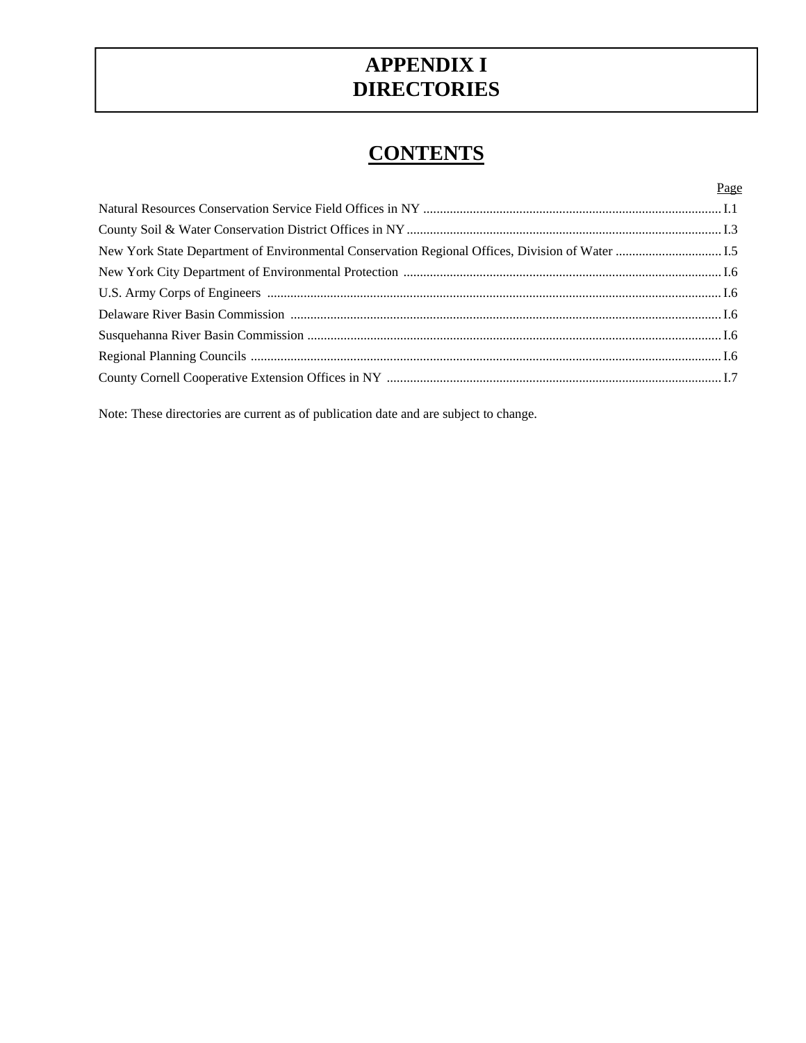# **DIRECTORIES**<br>CONTENTS **APPENDIX I**

|                                                                                                  | Page |
|--------------------------------------------------------------------------------------------------|------|
|                                                                                                  |      |
|                                                                                                  |      |
| New York State Department of Environmental Conservation Regional Offices, Division of Water  I.5 |      |
|                                                                                                  |      |
|                                                                                                  |      |
|                                                                                                  |      |
|                                                                                                  |      |
|                                                                                                  |      |
|                                                                                                  |      |
|                                                                                                  |      |

Note: These directories are current as of publication date and are subject to change.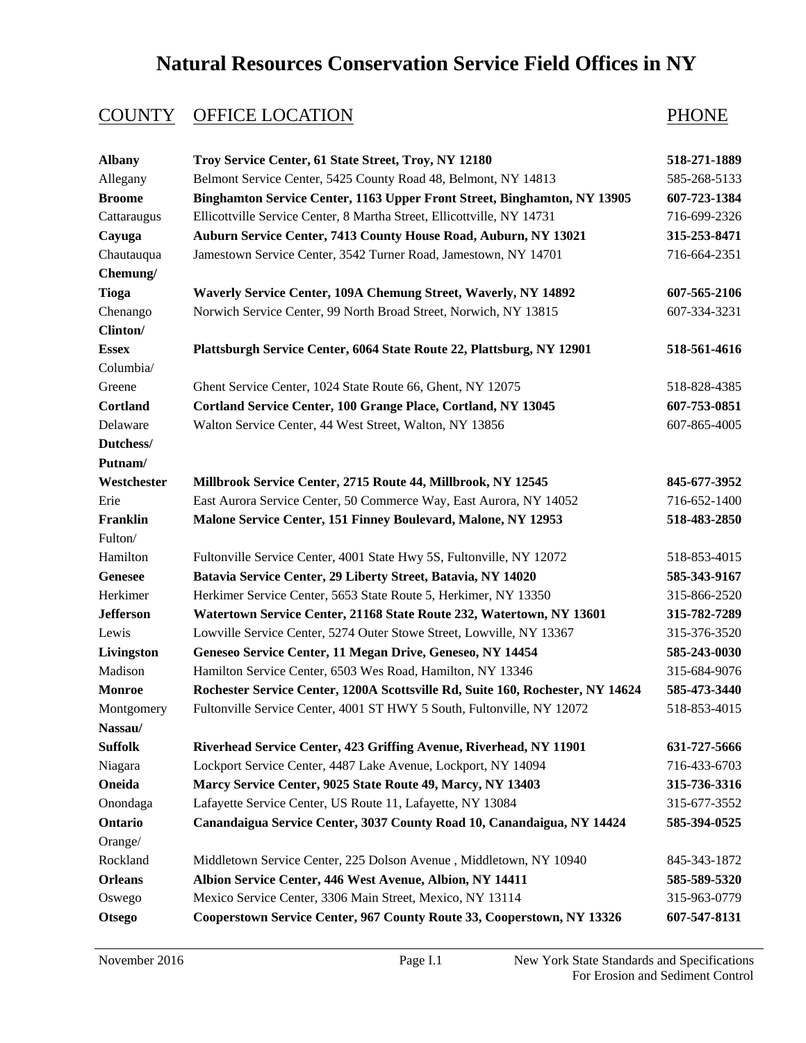# **Natural Resources Conservation Service Field Offices in NY**

| <b>Albany</b>    | Troy Service Center, 61 State Street, Troy, NY 12180                           | 518-271-1889 |
|------------------|--------------------------------------------------------------------------------|--------------|
| Allegany         | Belmont Service Center, 5425 County Road 48, Belmont, NY 14813                 | 585-268-5133 |
| <b>Broome</b>    | Binghamton Service Center, 1163 Upper Front Street, Binghamton, NY 13905       | 607-723-1384 |
| Cattaraugus      | Ellicottville Service Center, 8 Martha Street, Ellicottville, NY 14731         | 716-699-2326 |
| Cayuga           | Auburn Service Center, 7413 County House Road, Auburn, NY 13021                | 315-253-8471 |
| Chautauqua       | Jamestown Service Center, 3542 Turner Road, Jamestown, NY 14701                | 716-664-2351 |
| Chemung/         |                                                                                |              |
| <b>Tioga</b>     | Waverly Service Center, 109A Chemung Street, Waverly, NY 14892                 | 607-565-2106 |
| Chenango         | Norwich Service Center, 99 North Broad Street, Norwich, NY 13815               | 607-334-3231 |
| Clinton/         |                                                                                |              |
| <b>Essex</b>     | Plattsburgh Service Center, 6064 State Route 22, Plattsburg, NY 12901          | 518-561-4616 |
| Columbia/        |                                                                                |              |
| Greene           | Ghent Service Center, 1024 State Route 66, Ghent, NY 12075                     | 518-828-4385 |
| <b>Cortland</b>  | Cortland Service Center, 100 Grange Place, Cortland, NY 13045                  | 607-753-0851 |
| Delaware         | Walton Service Center, 44 West Street, Walton, NY 13856                        | 607-865-4005 |
| Dutchess/        |                                                                                |              |
| Putnam/          |                                                                                |              |
| Westchester      | Millbrook Service Center, 2715 Route 44, Millbrook, NY 12545                   | 845-677-3952 |
| Erie             | East Aurora Service Center, 50 Commerce Way, East Aurora, NY 14052             | 716-652-1400 |
| Franklin         | Malone Service Center, 151 Finney Boulevard, Malone, NY 12953                  | 518-483-2850 |
| Fulton/          |                                                                                |              |
| Hamilton         | Fultonville Service Center, 4001 State Hwy 5S, Fultonville, NY 12072           | 518-853-4015 |
| <b>Genesee</b>   | Batavia Service Center, 29 Liberty Street, Batavia, NY 14020                   | 585-343-9167 |
| Herkimer         | Herkimer Service Center, 5653 State Route 5, Herkimer, NY 13350                | 315-866-2520 |
| <b>Jefferson</b> | Watertown Service Center, 21168 State Route 232, Watertown, NY 13601           | 315-782-7289 |
| Lewis            | Lowville Service Center, 5274 Outer Stowe Street, Lowville, NY 13367           | 315-376-3520 |
| Livingston       | Geneseo Service Center, 11 Megan Drive, Geneseo, NY 14454                      | 585-243-0030 |
| Madison          | Hamilton Service Center, 6503 Wes Road, Hamilton, NY 13346                     | 315-684-9076 |
| <b>Monroe</b>    | Rochester Service Center, 1200A Scottsville Rd, Suite 160, Rochester, NY 14624 | 585-473-3440 |
| Montgomery       | Fultonville Service Center, 4001 ST HWY 5 South, Fultonville, NY 12072         | 518-853-4015 |
| Nassau/          |                                                                                |              |
| <b>Suffolk</b>   | Riverhead Service Center, 423 Griffing Avenue, Riverhead, NY 11901             | 631-727-5666 |
| Niagara          | Lockport Service Center, 4487 Lake Avenue, Lockport, NY 14094                  | 716-433-6703 |
| Oneida           | Marcy Service Center, 9025 State Route 49, Marcy, NY 13403                     | 315-736-3316 |
| Onondaga         | Lafayette Service Center, US Route 11, Lafayette, NY 13084                     | 315-677-3552 |
| Ontario          | Canandaigua Service Center, 3037 County Road 10, Canandaigua, NY 14424         | 585-394-0525 |
| Orange/          |                                                                                |              |
| Rockland         | Middletown Service Center, 225 Dolson Avenue, Middletown, NY 10940             | 845-343-1872 |
| <b>Orleans</b>   | Albion Service Center, 446 West Avenue, Albion, NY 14411                       | 585-589-5320 |
| Oswego           | Mexico Service Center, 3306 Main Street, Mexico, NY 13114                      | 315-963-0779 |
| <b>Otsego</b>    | Cooperstown Service Center, 967 County Route 33, Cooperstown, NY 13326         | 607-547-8131 |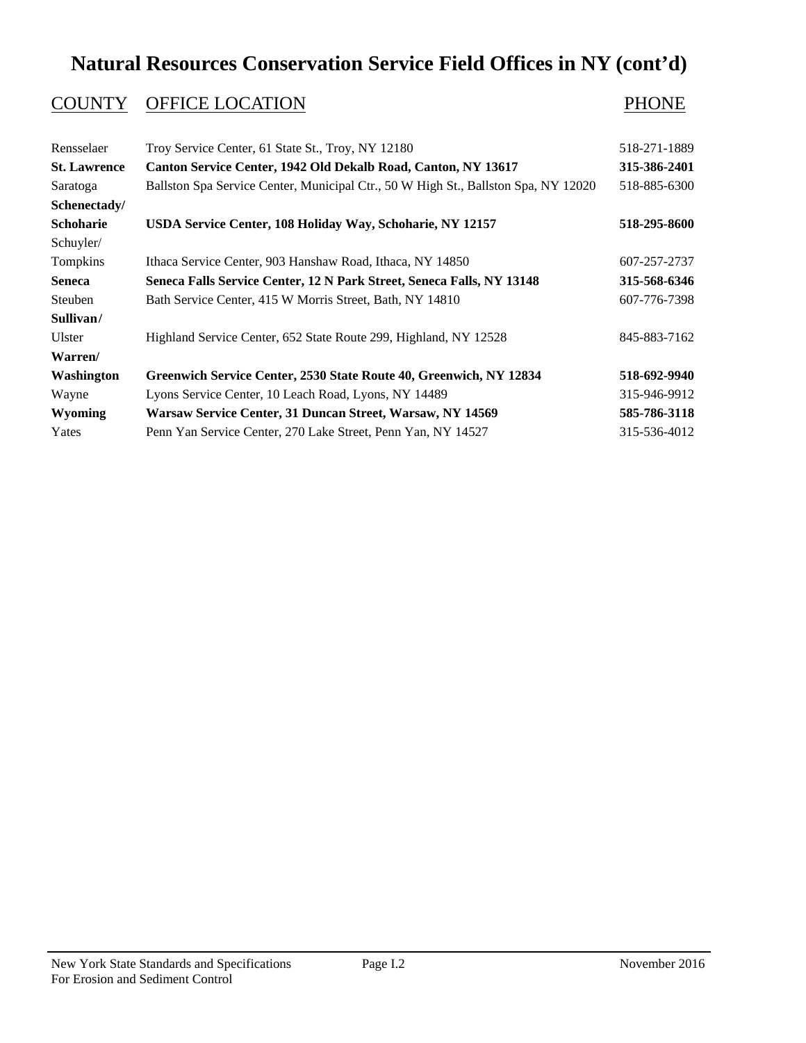### **Natural Resources Conservation Service Field Offices in NY (cont'd)**

| Troy Service Center, 61 State St., Troy, NY 12180                                  | 518-271-1889 |
|------------------------------------------------------------------------------------|--------------|
| Canton Service Center, 1942 Old Dekalb Road, Canton, NY 13617                      | 315-386-2401 |
| Ballston Spa Service Center, Municipal Ctr., 50 W High St., Ballston Spa, NY 12020 | 518-885-6300 |
|                                                                                    |              |
| USDA Service Center, 108 Holiday Way, Schoharie, NY 12157                          | 518-295-8600 |
|                                                                                    |              |
| Ithaca Service Center, 903 Hanshaw Road, Ithaca, NY 14850                          | 607-257-2737 |
| Seneca Falls Service Center, 12 N Park Street, Seneca Falls, NY 13148              | 315-568-6346 |
| Bath Service Center, 415 W Morris Street, Bath, NY 14810                           | 607-776-7398 |
|                                                                                    |              |
| Highland Service Center, 652 State Route 299, Highland, NY 12528                   | 845-883-7162 |
|                                                                                    |              |
| Greenwich Service Center, 2530 State Route 40, Greenwich, NY 12834                 | 518-692-9940 |
| Lyons Service Center, 10 Leach Road, Lyons, NY 14489                               | 315-946-9912 |
| Warsaw Service Center, 31 Duncan Street, Warsaw, NY 14569                          | 585-786-3118 |
| Penn Yan Service Center, 270 Lake Street, Penn Yan, NY 14527                       | 315-536-4012 |
|                                                                                    |              |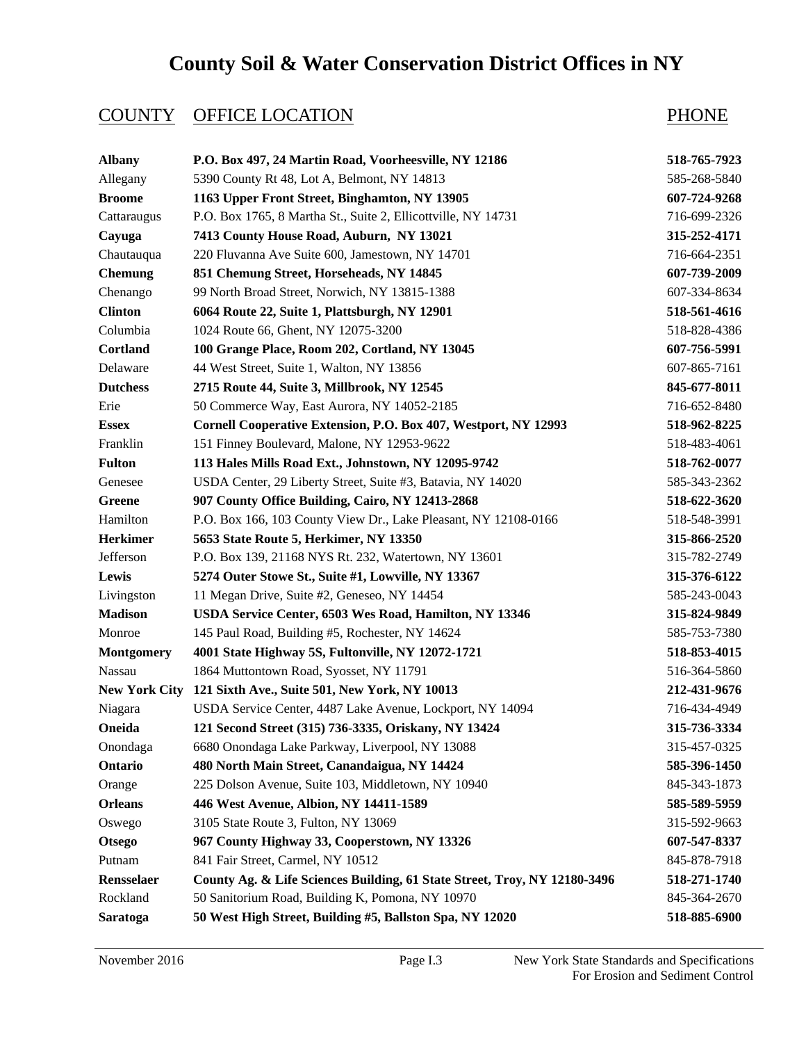# **County Soil & Water Conservation District Offices in NY**

| <b>Albany</b>        | P.O. Box 497, 24 Martin Road, Voorheesville, NY 12186                     | 518-765-7923 |
|----------------------|---------------------------------------------------------------------------|--------------|
| Allegany             | 5390 County Rt 48, Lot A, Belmont, NY 14813                               | 585-268-5840 |
| <b>Broome</b>        | 1163 Upper Front Street, Binghamton, NY 13905                             | 607-724-9268 |
| Cattaraugus          | P.O. Box 1765, 8 Martha St., Suite 2, Ellicottville, NY 14731             | 716-699-2326 |
| Cayuga               | 7413 County House Road, Auburn, NY 13021                                  | 315-252-4171 |
| Chautauqua           | 220 Fluvanna Ave Suite 600, Jamestown, NY 14701                           | 716-664-2351 |
| <b>Chemung</b>       | 851 Chemung Street, Horseheads, NY 14845                                  | 607-739-2009 |
| Chenango             | 99 North Broad Street, Norwich, NY 13815-1388                             | 607-334-8634 |
| <b>Clinton</b>       | 6064 Route 22, Suite 1, Plattsburgh, NY 12901                             | 518-561-4616 |
| Columbia             | 1024 Route 66, Ghent, NY 12075-3200                                       | 518-828-4386 |
| Cortland             | 100 Grange Place, Room 202, Cortland, NY 13045                            | 607-756-5991 |
| Delaware             | 44 West Street, Suite 1, Walton, NY 13856                                 | 607-865-7161 |
| <b>Dutchess</b>      | 2715 Route 44, Suite 3, Millbrook, NY 12545                               | 845-677-8011 |
| Erie                 | 50 Commerce Way, East Aurora, NY 14052-2185                               | 716-652-8480 |
| <b>Essex</b>         | Cornell Cooperative Extension, P.O. Box 407, Westport, NY 12993           | 518-962-8225 |
| Franklin             | 151 Finney Boulevard, Malone, NY 12953-9622                               | 518-483-4061 |
| <b>Fulton</b>        | 113 Hales Mills Road Ext., Johnstown, NY 12095-9742                       | 518-762-0077 |
| Genesee              | USDA Center, 29 Liberty Street, Suite #3, Batavia, NY 14020               | 585-343-2362 |
| <b>Greene</b>        | 907 County Office Building, Cairo, NY 12413-2868                          | 518-622-3620 |
| Hamilton             | P.O. Box 166, 103 County View Dr., Lake Pleasant, NY 12108-0166           | 518-548-3991 |
| <b>Herkimer</b>      | 5653 State Route 5, Herkimer, NY 13350                                    | 315-866-2520 |
| Jefferson            | P.O. Box 139, 21168 NYS Rt. 232, Watertown, NY 13601                      | 315-782-2749 |
| Lewis                | 5274 Outer Stowe St., Suite #1, Lowville, NY 13367                        | 315-376-6122 |
| Livingston           | 11 Megan Drive, Suite #2, Geneseo, NY 14454                               | 585-243-0043 |
| <b>Madison</b>       | USDA Service Center, 6503 Wes Road, Hamilton, NY 13346                    | 315-824-9849 |
| Monroe               | 145 Paul Road, Building #5, Rochester, NY 14624                           | 585-753-7380 |
| <b>Montgomery</b>    | 4001 State Highway 5S, Fultonville, NY 12072-1721                         | 518-853-4015 |
| Nassau               | 1864 Muttontown Road, Syosset, NY 11791                                   | 516-364-5860 |
| <b>New York City</b> | 121 Sixth Ave., Suite 501, New York, NY 10013                             | 212-431-9676 |
| Niagara              | USDA Service Center, 4487 Lake Avenue, Lockport, NY 14094                 | 716-434-4949 |
| Oneida               | 121 Second Street (315) 736-3335, Oriskany, NY 13424                      | 315-736-3334 |
| Onondaga             | 6680 Onondaga Lake Parkway, Liverpool, NY 13088                           | 315-457-0325 |
| Ontario              | 480 North Main Street, Canandaigua, NY 14424                              | 585-396-1450 |
| Orange               | 225 Dolson Avenue, Suite 103, Middletown, NY 10940                        | 845-343-1873 |
| <b>Orleans</b>       | 446 West Avenue, Albion, NY 14411-1589                                    | 585-589-5959 |
| Oswego               | 3105 State Route 3, Fulton, NY 13069                                      | 315-592-9663 |
| <b>Otsego</b>        | 967 County Highway 33, Cooperstown, NY 13326                              | 607-547-8337 |
| Putnam               | 841 Fair Street, Carmel, NY 10512                                         | 845-878-7918 |
| Rensselaer           | County Ag. & Life Sciences Building, 61 State Street, Troy, NY 12180-3496 | 518-271-1740 |
| Rockland             | 50 Sanitorium Road, Building K, Pomona, NY 10970                          | 845-364-2670 |
| Saratoga             | 50 West High Street, Building #5, Ballston Spa, NY 12020                  | 518-885-6900 |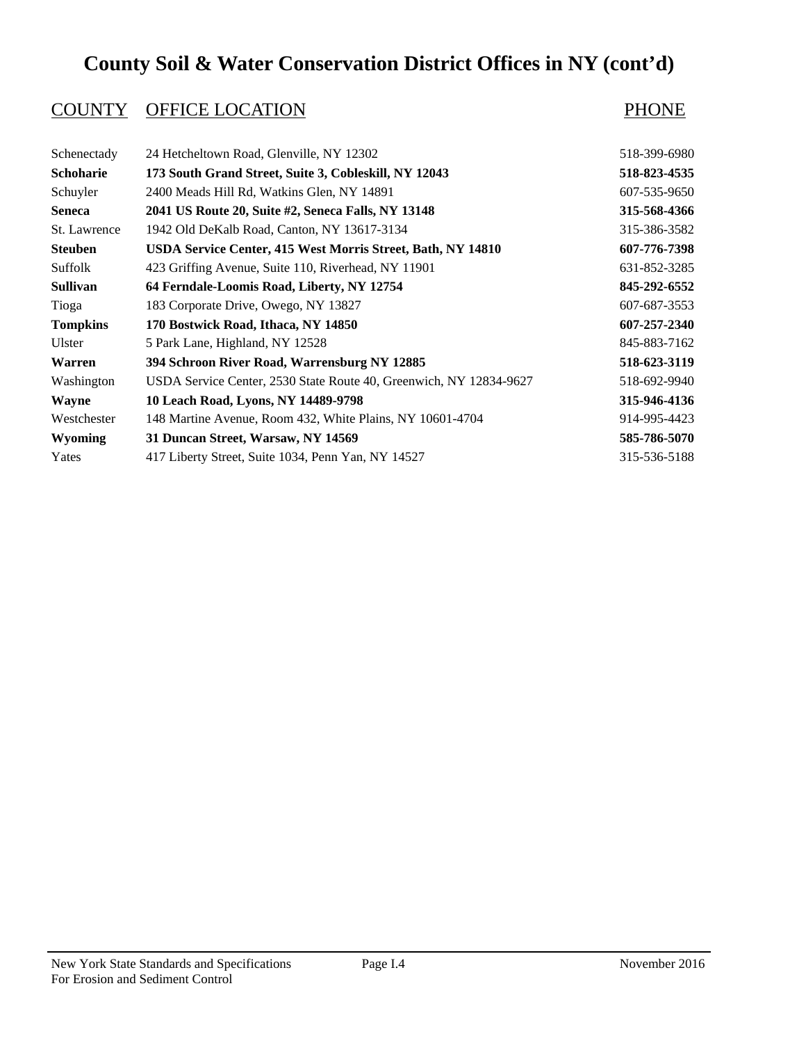# **County Soil & Water Conservation District Offices in NY (cont'd)**

| Schenectady      | 24 Hetcheltown Road, Glenville, NY 12302                           | 518-399-6980 |
|------------------|--------------------------------------------------------------------|--------------|
| <b>Schoharie</b> | 173 South Grand Street, Suite 3, Cobleskill, NY 12043              | 518-823-4535 |
| Schuyler         | 2400 Meads Hill Rd, Watkins Glen, NY 14891                         | 607-535-9650 |
| <b>Seneca</b>    | 2041 US Route 20, Suite #2, Seneca Falls, NY 13148                 | 315-568-4366 |
| St. Lawrence     | 1942 Old DeKalb Road, Canton, NY 13617-3134                        | 315-386-3582 |
| <b>Steuben</b>   | USDA Service Center, 415 West Morris Street, Bath, NY 14810        | 607-776-7398 |
| Suffolk          | 423 Griffing Avenue, Suite 110, Riverhead, NY 11901                | 631-852-3285 |
| <b>Sullivan</b>  | 64 Ferndale-Loomis Road, Liberty, NY 12754                         | 845-292-6552 |
| Tioga            | 183 Corporate Drive, Owego, NY 13827                               | 607-687-3553 |
| <b>Tompkins</b>  | 170 Bostwick Road, Ithaca, NY 14850                                | 607-257-2340 |
| Ulster           | 5 Park Lane, Highland, NY 12528                                    | 845-883-7162 |
| Warren           | 394 Schroon River Road, Warrensburg NY 12885                       | 518-623-3119 |
| Washington       | USDA Service Center, 2530 State Route 40, Greenwich, NY 12834-9627 | 518-692-9940 |
| <b>Wayne</b>     | 10 Leach Road, Lyons, NY 14489-9798                                | 315-946-4136 |
| Westchester      | 148 Martine Avenue, Room 432, White Plains, NY 10601-4704          | 914-995-4423 |
| <b>Wyoming</b>   | 31 Duncan Street, Warsaw, NY 14569                                 | 585-786-5070 |
| Yates            | 417 Liberty Street, Suite 1034, Penn Yan, NY 14527                 | 315-536-5188 |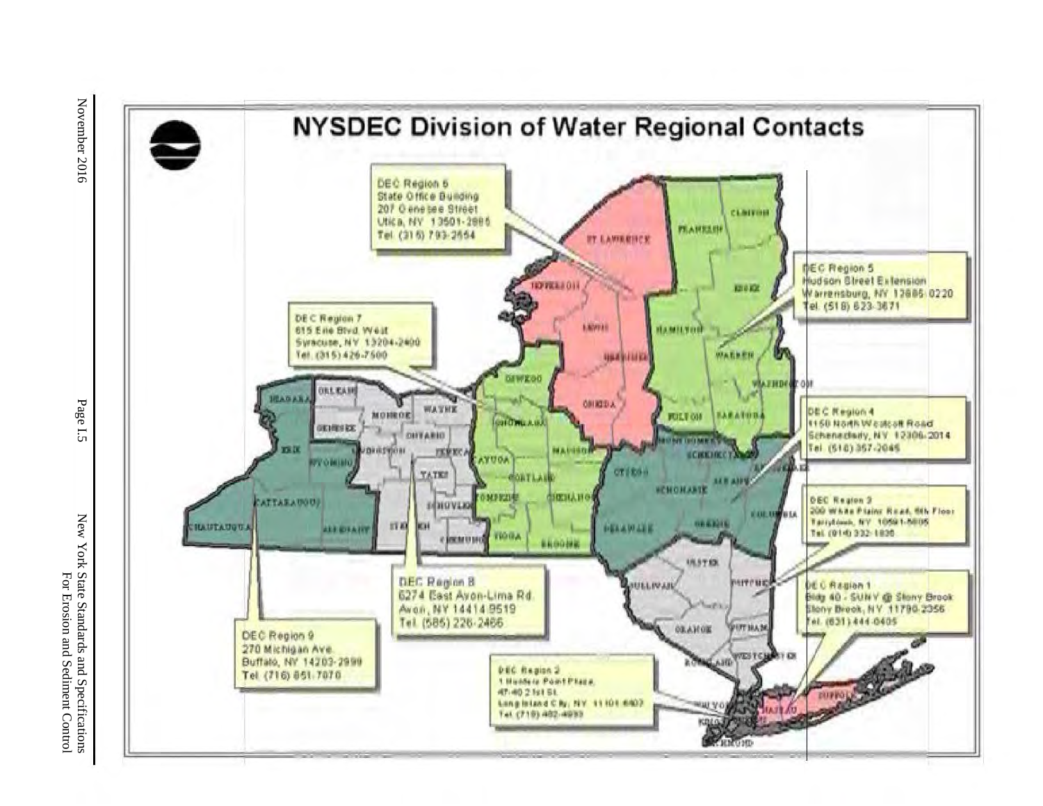

November 2016

Page I.5

New York State Standards and Specifications<br>For Erosion and Sediment Control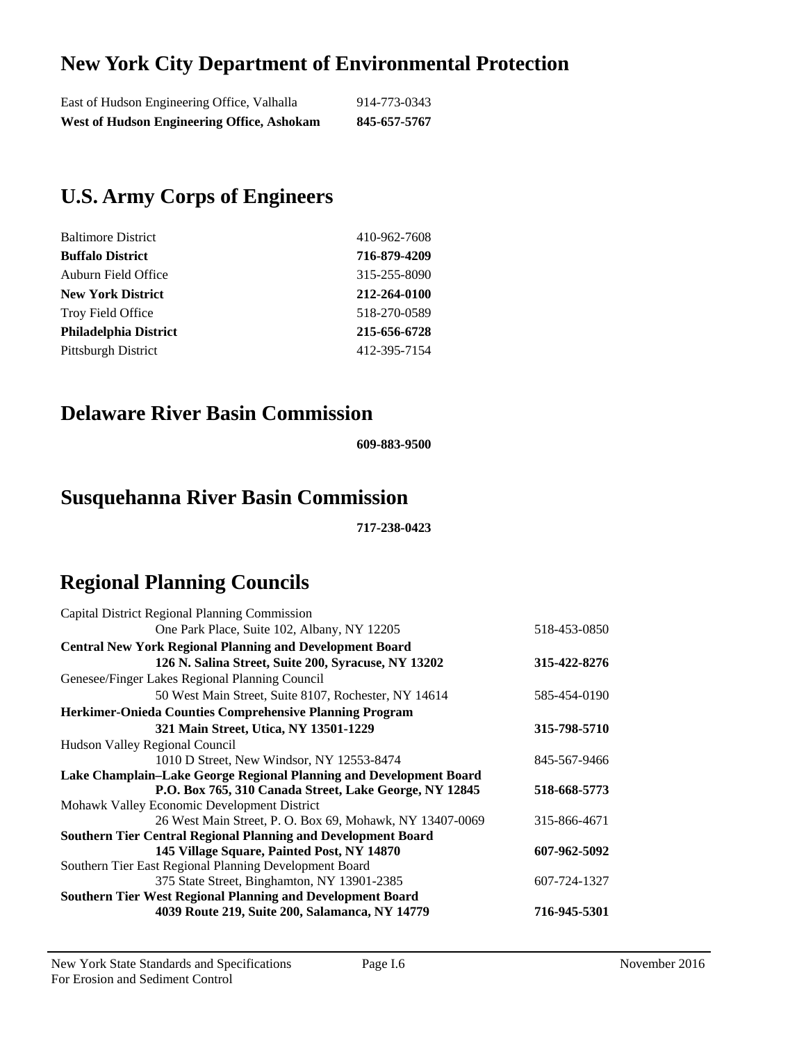### **New York City Department of Environmental Protection**

### **U.S. Army Corps of Engineers**

| <b>Baltimore District</b>    | 410-962-7608 |
|------------------------------|--------------|
| <b>Buffalo District</b>      | 716-879-4209 |
| Auburn Field Office          | 315-255-8090 |
| <b>New York District</b>     | 212-264-0100 |
| <b>Troy Field Office</b>     | 518-270-0589 |
| <b>Philadelphia District</b> | 215-656-6728 |
| <b>Pittsburgh District</b>   | 412-395-7154 |

#### **Delaware River Basin Commission**

**609-883-9500** 

### **Susquehanna River Basin Commission**

**717-238-0423** 

## **Regional Planning Councils**

| Capital District Regional Planning Commission                        |              |
|----------------------------------------------------------------------|--------------|
| One Park Place, Suite 102, Albany, NY 12205                          | 518-453-0850 |
| <b>Central New York Regional Planning and Development Board</b>      |              |
| 126 N. Salina Street, Suite 200, Syracuse, NY 13202                  | 315-422-8276 |
| Genesee/Finger Lakes Regional Planning Council                       |              |
| 50 West Main Street, Suite 8107, Rochester, NY 14614                 | 585-454-0190 |
| Herkimer-Onieda Counties Comprehensive Planning Program              |              |
| 321 Main Street, Utica, NY 13501-1229                                | 315-798-5710 |
| Hudson Valley Regional Council                                       |              |
| 1010 D Street, New Windsor, NY 12553-8474                            | 845-567-9466 |
| Lake Champlain-Lake George Regional Planning and Development Board   |              |
| P.O. Box 765, 310 Canada Street, Lake George, NY 12845               | 518-668-5773 |
| Mohawk Valley Economic Development District                          |              |
| 26 West Main Street, P. O. Box 69, Mohawk, NY 13407-0069             | 315-866-4671 |
| <b>Southern Tier Central Regional Planning and Development Board</b> |              |
| 145 Village Square, Painted Post, NY 14870                           | 607-962-5092 |
| Southern Tier East Regional Planning Development Board               |              |
| 375 State Street, Binghamton, NY 13901-2385                          | 607-724-1327 |
| <b>Southern Tier West Regional Planning and Development Board</b>    |              |
| 4039 Route 219, Suite 200, Salamanca, NY 14779                       | 716-945-5301 |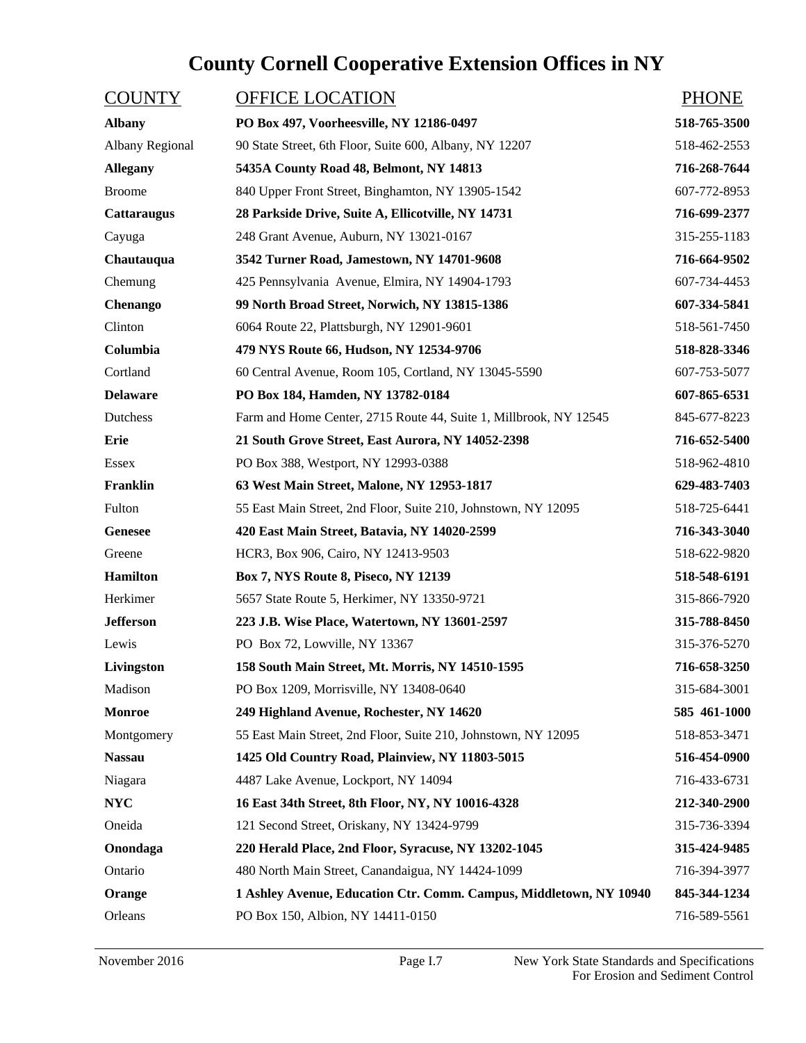# **County Cornell Cooperative Extension Offices in NY**

| <b>COUNTY</b>      | <b>OFFICE LOCATION</b>                                             | <b>PHONE</b> |
|--------------------|--------------------------------------------------------------------|--------------|
| <b>Albany</b>      | PO Box 497, Voorheesville, NY 12186-0497                           | 518-765-3500 |
| Albany Regional    | 90 State Street, 6th Floor, Suite 600, Albany, NY 12207            | 518-462-2553 |
| <b>Allegany</b>    | 5435A County Road 48, Belmont, NY 14813                            | 716-268-7644 |
| <b>Broome</b>      | 840 Upper Front Street, Binghamton, NY 13905-1542                  | 607-772-8953 |
| <b>Cattaraugus</b> | 28 Parkside Drive, Suite A, Ellicotville, NY 14731                 | 716-699-2377 |
| Cayuga             | 248 Grant Avenue, Auburn, NY 13021-0167                            | 315-255-1183 |
| Chautauqua         | 3542 Turner Road, Jamestown, NY 14701-9608                         | 716-664-9502 |
| Chemung            | 425 Pennsylvania Avenue, Elmira, NY 14904-1793                     | 607-734-4453 |
| Chenango           | 99 North Broad Street, Norwich, NY 13815-1386                      | 607-334-5841 |
| Clinton            | 6064 Route 22, Plattsburgh, NY 12901-9601                          | 518-561-7450 |
| Columbia           | 479 NYS Route 66, Hudson, NY 12534-9706                            | 518-828-3346 |
| Cortland           | 60 Central Avenue, Room 105, Cortland, NY 13045-5590               | 607-753-5077 |
| <b>Delaware</b>    | PO Box 184, Hamden, NY 13782-0184                                  | 607-865-6531 |
| Dutchess           | Farm and Home Center, 2715 Route 44, Suite 1, Millbrook, NY 12545  | 845-677-8223 |
| Erie               | 21 South Grove Street, East Aurora, NY 14052-2398                  | 716-652-5400 |
| Essex              | PO Box 388, Westport, NY 12993-0388                                | 518-962-4810 |
| Franklin           | 63 West Main Street, Malone, NY 12953-1817                         | 629-483-7403 |
| Fulton             | 55 East Main Street, 2nd Floor, Suite 210, Johnstown, NY 12095     | 518-725-6441 |
| <b>Genesee</b>     | 420 East Main Street, Batavia, NY 14020-2599                       | 716-343-3040 |
| Greene             | HCR3, Box 906, Cairo, NY 12413-9503                                | 518-622-9820 |
| <b>Hamilton</b>    | <b>Box 7, NYS Route 8, Piseco, NY 12139</b>                        | 518-548-6191 |
| Herkimer           | 5657 State Route 5, Herkimer, NY 13350-9721                        | 315-866-7920 |
| <b>Jefferson</b>   | 223 J.B. Wise Place, Watertown, NY 13601-2597                      | 315-788-8450 |
| Lewis              | PO Box 72, Lowville, NY 13367                                      | 315-376-5270 |
| Livingston         | 158 South Main Street, Mt. Morris, NY 14510-1595                   | 716-658-3250 |
| Madison            | PO Box 1209, Morrisville, NY 13408-0640                            | 315-684-3001 |
| <b>Monroe</b>      | 249 Highland Avenue, Rochester, NY 14620                           | 585 461-1000 |
| Montgomery         | 55 East Main Street, 2nd Floor, Suite 210, Johnstown, NY 12095     | 518-853-3471 |
| <b>Nassau</b>      | 1425 Old Country Road, Plainview, NY 11803-5015                    | 516-454-0900 |
| Niagara            | 4487 Lake Avenue, Lockport, NY 14094                               | 716-433-6731 |
| <b>NYC</b>         | 16 East 34th Street, 8th Floor, NY, NY 10016-4328                  | 212-340-2900 |
| Oneida             | 121 Second Street, Oriskany, NY 13424-9799                         | 315-736-3394 |
| Onondaga           | 220 Herald Place, 2nd Floor, Syracuse, NY 13202-1045               | 315-424-9485 |
| Ontario            | 480 North Main Street, Canandaigua, NY 14424-1099                  | 716-394-3977 |
| Orange             | 1 Ashley Avenue, Education Ctr. Comm. Campus, Middletown, NY 10940 | 845-344-1234 |
| Orleans            | PO Box 150, Albion, NY 14411-0150                                  | 716-589-5561 |